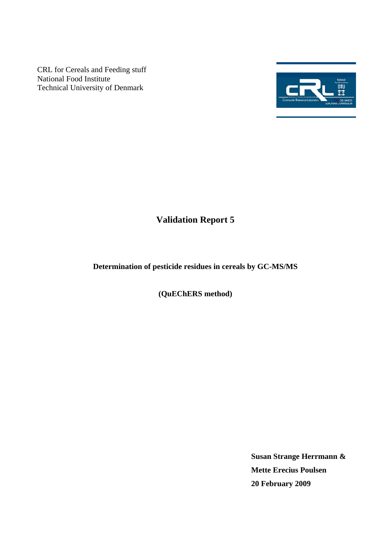CRL for Cereals and Feeding stuff National Food Institute Technical University of Denmark



# **Validation Report 5**

## **Determination of pesticide residues in cereals by GC-MS/MS**

**(QuEChERS method)** 

**Susan Strange Herrmann & Mette Erecius Poulsen 20 February 2009**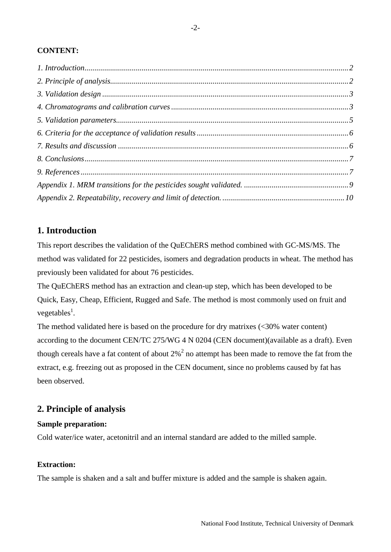### <span id="page-1-0"></span>**CONTENT:**

## **1. Introduction**

This report describes the validation of the QuEChERS method combined with GC-MS/MS. The method was validated for 22 pesticides, isomers and degradation products in wheat. The method has previously been validated for about 76 pesticides.

The QuEChERS method has an extraction and clean-up step, which has been developed to be Quick, Easy, Cheap, Efficient, Rugged and Safe. The method is most commonly used on fruit and vegetables<sup>1</sup>.

The method validated here is based on the procedure for dry matrixes  $\left( \langle 30\% \rangle \right)$  water content) according to the document CEN/TC 275/WG 4 N 0204 (CEN document)(available as a draft). Even though cereals have a fat content of about  $2\%^2$  no attempt has been made to remove the fat from the extract, e.g. freezing out as proposed in the CEN document, since no problems caused by fat has been observed.

## **2. Principle of analysis**

#### **Sample preparation:**

Cold water/ice water, acetonitril and an internal standard are added to the milled sample.

#### **Extraction:**

The sample is shaken and a salt and buffer mixture is added and the sample is shaken again.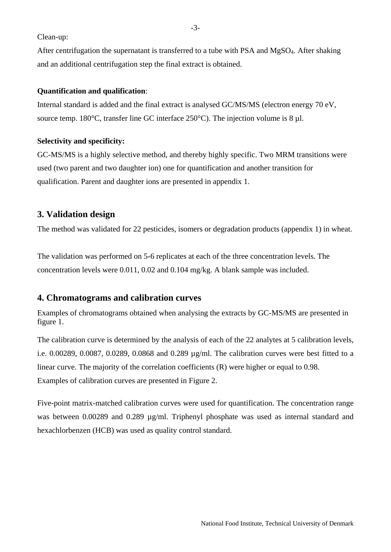<span id="page-2-0"></span>Clean-up:

After centrifugation the supernatant is transferred to a tube with PSA and MgSO4. After shaking and an additional centrifugation step the final extract is obtained.

#### **Quantification and qualification**:

Internal standard is added and the final extract is analysed GC/MS/MS (electron energy 70 eV, source temp. 180 $^{\circ}$ C, transfer line GC interface 250 $^{\circ}$ C). The injection volume is 8 µl.

#### **Selectivity and specificity:**

GC-MS/MS is a highly selective method, and thereby highly specific. Two MRM transitions were used (two parent and two daughter ion) one for quantification and another transition for qualification. Parent and daughter ions are presented in appendix 1.

## **3. Validation design**

The method was validated for 22 pesticides, isomers or degradation products (appendix 1) in wheat.

The validation was performed on 5-6 replicates at each of the three concentration levels. The concentration levels were 0.011, 0.02 and 0.104 mg/kg. A blank sample was included.

## **4. Chromatograms and calibration curves**

Examples of chromatograms obtained when analysing the extracts by GC-MS/MS are presented in figure 1.

The calibration curve is determined by the analysis of each of the 22 analytes at 5 calibration levels, i.e. 0.00289, 0.0087, 0.0289, 0.0868 and 0.289 µg/ml. The calibration curves were best fitted to a linear curve. The majority of the correlation coefficients (R) were higher or equal to 0.98. Examples of calibration curves are presented in Figure 2.

Five-point matrix-matched calibration curves were used for quantification. The concentration range was between 0.00289 and 0.289  $\mu$ g/ml. Triphenyl phosphate was used as internal standard and hexachlorbenzen (HCB) was used as quality control standard.

-3-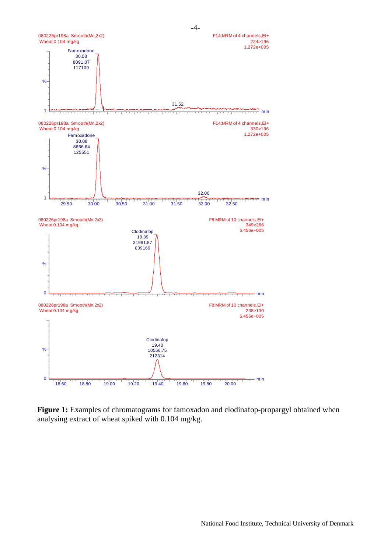

**Figure 1:** Examples of chromatograms for famoxadon and clodinafop-propargyl obtained when analysing extract of wheat spiked with 0.104 mg/kg.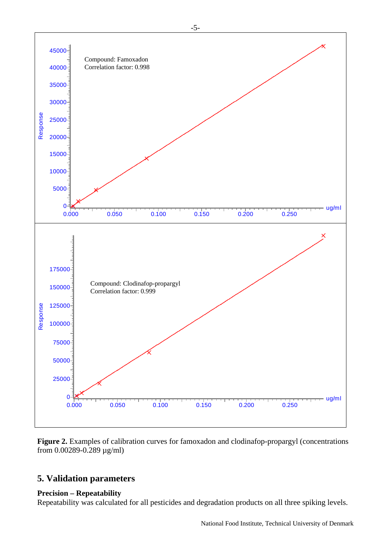<span id="page-4-0"></span>

**Figure 2.** Examples of calibration curves for famoxadon and clodinafop-propargyl (concentrations from 0.00289-0.289 µg/ml)

## **5. Validation parameters**

#### **Precision – Repeatability**

Repeatability was calculated for all pesticides and degradation products on all three spiking levels.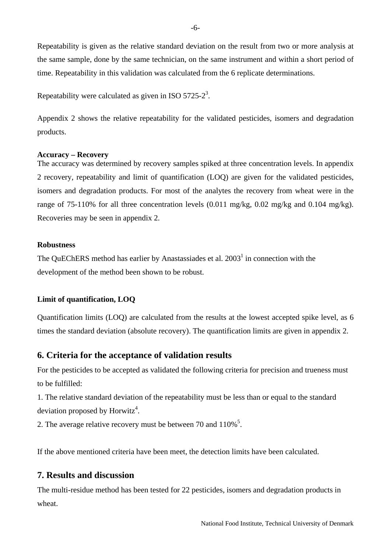<span id="page-5-0"></span>the same sample, done by the same technician, on the same instrument and within a short period of time. Repeatability in this validation was calculated from the 6 replicate determinations. Repeatability is given as the relative standard deviation on the result from two or more analysis at

Repeatability were calculated as given in ISO 5725-2<sup>3</sup>.

2 shows the relative repeatability for the validated pesticides, isomers and degradation Appendix products.

#### **Accuracy – Recovery**

range of 75-110% for all three concentration levels  $(0.011 \text{ mg/kg}, 0.02 \text{ mg/kg}$  and 0.104 mg/kg). Recoveries may be seen in appendix 2. The accuracy was determined by recovery samples spiked at three concentration levels. In appendix 2 recovery, repeatability and limit of quantification (LOQ) are given for the validated pesticides, isomers and degradation products. For most of the analytes the recovery from wheat were in the

#### **Robustness**

The QuEChERS method has earlier by Anastassiades et al.  $2003<sup>1</sup>$  in connection with the development of the method been shown to be robust.

#### Limit of quantification, LOQ

times the standard deviation (absolute recovery). The quantification limits are given in appendix 2. Quantification limits (LOQ) are calculated from the results at the lowest accepted spike level, as 6

#### **6. Criteria for the acceptance of validation results**

For the pesticides to be accepted as validated the following criteria for precision and trueness must to be fulfilled:

1. The relative standard deviation of the repeatability must be less than or equal to the standard deviation proposed by Horwitz<sup>4</sup>.

2. The average relative recovery must be between 70 and  $110\%$ <sup>5</sup>.

If the above mentioned criteria have been meet, the detection limits have been calculated.

## **7. Results and discussion**

The multi-residue method has been tested for 22 pesticides, isomers and degradation products in wheat.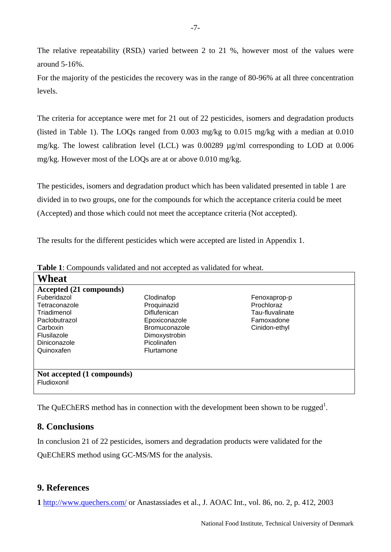<span id="page-6-0"></span>The relative repeatability  $(RSD<sub>r</sub>)$  varied between 2 to 21 %, however most of the values were around 5-16%.

For the majority of the pesticides the recovery was in the range of 80-96% at all three concentration levels.

mg/kg. However most of the LOQs are at or above 0.010 mg/kg. The criteria for acceptance were met for 21 out of 22 pesticides, isomers and degradation products (listed in Table 1). The LOQs ranged from 0.003 mg/kg to 0.015 mg/kg with a median at 0.010 mg/kg. The lowest calibration level (LCL) was 0.00289 µg/ml corresponding to LOD at 0.006

divided in to two groups, one for the compounds for which the acceptance criteria could be meet (Accepted) and those which could not meet the acceptance criteria (Not accepted). The pesticides, isomers and degradation product which has been validated presented in table 1 are

The results for the different pesticides which were accepted are listed in Appendix 1.

| Wheat                      |                     |                 |
|----------------------------|---------------------|-----------------|
| Accepted (21 compounds)    |                     |                 |
| Fuberidazol                | Clodinafop          | Fenoxaprop-p    |
| Tetraconazole              | Proquinazid         | Prochloraz      |
| Triadimenol                | <b>Diflufenican</b> | Tau-fluvalinate |
| Paclobutrazol              | Epoxiconazole       | Famoxadone      |
| Carboxin                   | Bromuconazole       | Cinidon-ethyl   |
| Flusilazole                | Dimoxystrobin       |                 |
| Diniconazole               | Picolinafen         |                 |
| Quinoxafen                 | Flurtamone          |                 |
|                            |                     |                 |
|                            |                     |                 |
| Not accepted (1 compounds) |                     |                 |
| Fludioxonil                |                     |                 |
|                            |                     |                 |

Table 1: Compounds validated and not accepted as validated for wheat.

The QuEChERS method has in connection with the development been shown to be rugged<sup>1</sup>.

## **8. Conclusions**

In conclusion 21 of 22 pesticides, isomers and degradation products were validated for the

uEChERS method using GC-MS/MS for the analysis. Q

## **9. References**

**1** http://www.quechers.com/ or Anastassiades et al., J. AOAC Int., vol. 86, no. 2, p. 412, 2003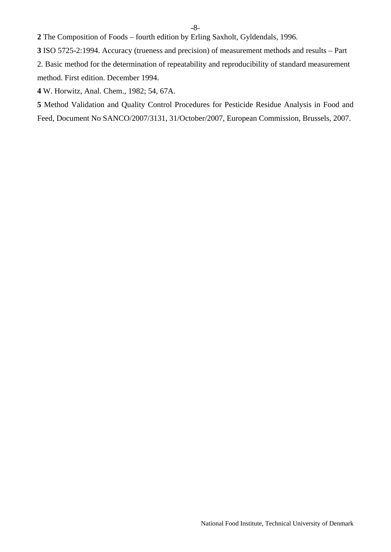**2** The Composition of Foods – fourth edition by Erling Saxholt, Gyldendals, 1996.

**3** ISO 5725-2:1994. Accuracy (trueness and precision) of measurement methods and results – Part

2. Basic method for the determination of repeatability and reproducibility of standard measurement method. First edition. December 1994.

**4** W. Horwitz, Anal. Chem., 1982; 54, 67A.

Feed, Document No SANCO/2007/3131, 31/October/2007, European Commission, Brussels, 2007. **5** Method Validation and Quality Control Procedures for Pesticide Residue Analysis in Food and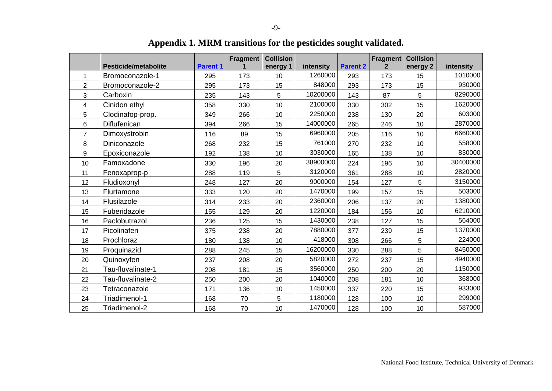<span id="page-8-0"></span>

|                | <b>Pesticide/metabolite</b> | <b>Parent 1</b> | Fragment | <b>Collision</b><br>energy 1 | intensity | <b>Parent 2</b> | Fragment<br>$\overline{2}$ | <b>Collision</b><br>energy 2 | intensity |
|----------------|-----------------------------|-----------------|----------|------------------------------|-----------|-----------------|----------------------------|------------------------------|-----------|
| 1              | Bromoconazole-1             | 295             | 173      | 10                           | 1260000   | 293             | 173                        | 15                           | 1010000   |
| $\overline{2}$ | Bromoconazole-2             | 295             | 173      | 15                           | 848000    | 293             | 173                        | 15                           | 930000    |
| 3              | Carboxin                    | 235             | 143      | 5                            | 10200000  | 143             | 87                         | 5                            | 8290000   |
| 4              | Cinidon ethyl               | 358             | 330      | 10                           | 2100000   | 330             | 302                        | 15                           | 1620000   |
| 5              | Clodinafop-prop.            | 349             | 266      | 10                           | 2250000   | 238             | 130                        | 20                           | 603000    |
| 6              | Diflufenican                | 394             | 266      | 15                           | 14000000  | 265             | 246                        | 10                           | 2870000   |
| 7              | Dimoxystrobin               | 116             | 89       | 15                           | 6960000   | 205             | 116                        | 10                           | 6660000   |
| 8              | Diniconazole                | 268             | 232      | 15                           | 761000    | 270             | 232                        | 10                           | 558000    |
| 9              | Epoxiconazole               | 192             | 138      | 10                           | 3030000   | 165             | 138                        | 10                           | 830000    |
| 10             | Famoxadone                  | 330             | 196      | 20                           | 38900000  | 224             | 196                        | 10                           | 30400000  |
| 11             | Fenoxaprop-p                | 288             | 119      | 5                            | 3120000   | 361             | 288                        | 10                           | 2820000   |
| 12             | Fludioxonyl                 | 248             | 127      | 20                           | 9000000   | 154             | 127                        | 5                            | 3150000   |
| 13             | Flurtamone                  | 333             | 120      | 20                           | 1470000   | 199             | 157                        | 15                           | 503000    |
| 14             | Flusilazole                 | 314             | 233      | 20                           | 2360000   | 206             | 137                        | 20                           | 1380000   |
| 15             | Fuberidazole                | 155             | 129      | 20                           | 1220000   | 184             | 156                        | 10                           | 6210000   |
| 16             | Paclobutrazol               | 236             | 125      | 15                           | 1430000   | 238             | 127                        | 15                           | 564000    |
| 17             | Picolinafen                 | 375             | 238      | 20                           | 7880000   | 377             | 239                        | 15                           | 1370000   |
| 18             | Prochloraz                  | 180             | 138      | 10                           | 418000    | 308             | 266                        | 5                            | 224000    |
| 19             | Proquinazid                 | 288             | 245      | 15                           | 16200000  | 330             | 288                        | 5                            | 8450000   |
| 20             | Quinoxyfen                  | 237             | 208      | 20                           | 5820000   | 272             | 237                        | 15                           | 4940000   |
| 21             | Tau-fluvalinate-1           | 208             | 181      | 15                           | 3560000   | 250             | 200                        | 20                           | 1150000   |
| 22             | Tau-fluvalinate-2           | 250             | 200      | 20                           | 1040000   | 208             | 181                        | 10                           | 368000    |
| 23             | Tetraconazole               | 171             | 136      | 10                           | 1450000   | 337             | 220                        | 15                           | 933000    |
| 24             | Triadimenol-1               | 168             | 70       | 5                            | 1180000   | 128             | 100                        | 10                           | 299000    |
| 25             | Triadimenol-2               | 168             | 70       | 10                           | 1470000   | 128             | 100                        | 10                           | 587000    |

**Appendix 1. MRM transitions for the pesticides sought validated.**